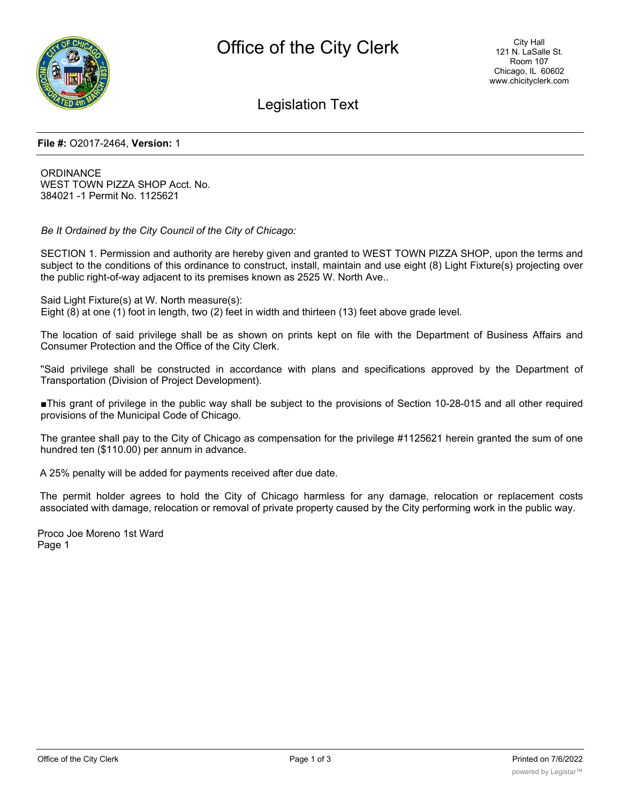

Legislation Text

#### **File #:** O2017-2464, **Version:** 1

**ORDINANCE** WEST TOWN PIZZA SHOP Acct. No. 384021 -1 Permit No. 1125621

*Be It Ordained by the City Council of the City of Chicago:*

SECTION 1. Permission and authority are hereby given and granted to WEST TOWN PIZZA SHOP, upon the terms and subject to the conditions of this ordinance to construct, install, maintain and use eight (8) Light Fixture(s) projecting over the public right-of-way adjacent to its premises known as 2525 W. North Ave..

Said Light Fixture(s) at W. North measure(s): Eight (8) at one (1) foot in length, two (2) feet in width and thirteen (13) feet above grade level.

The location of said privilege shall be as shown on prints kept on file with the Department of Business Affairs and Consumer Protection and the Office of the City Clerk.

''Said privilege shall be constructed in accordance with plans and specifications approved by the Department of Transportation (Division of Project Development).

■This grant of privilege in the public way shall be subject to the provisions of Section 10-28-015 and all other required provisions of the Municipal Code of Chicago.

The grantee shall pay to the City of Chicago as compensation for the privilege #1125621 herein granted the sum of one hundred ten (\$110.00) per annum in advance.

A 25% penalty will be added for payments received after due date.

The permit holder agrees to hold the City of Chicago harmless for any damage, relocation or replacement costs associated with damage, relocation or removal of private property caused by the City performing work in the public way.

Proco Joe Moreno 1st Ward Page 1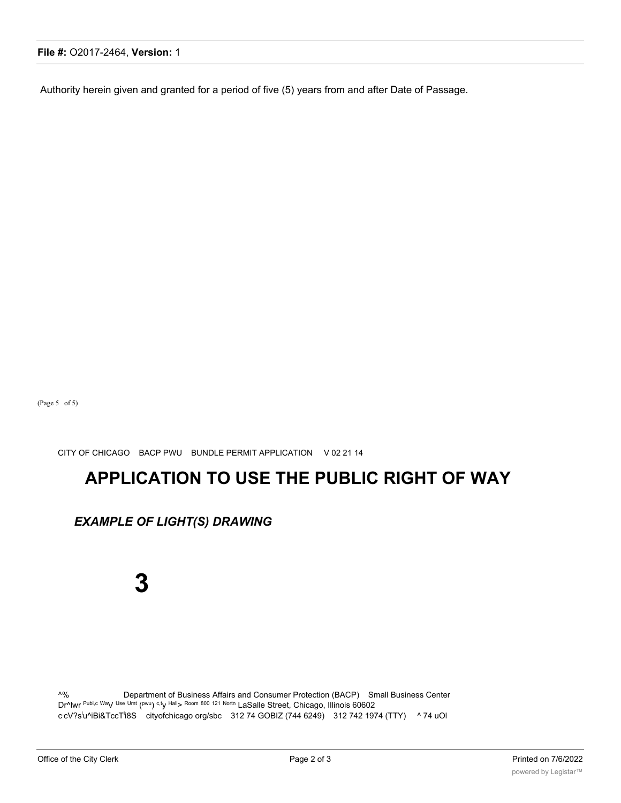Authority herein given and granted for a period of five (5) years from and after Date of Passage.

(Page 5 of 5)

CITY OF CHICAGO BACP PWU BUNDLE PERMIT APPLICATION V 02 21 14

# **APPLICATION TO USE THE PUBLIC RIGHT OF WAY**

## *EXAMPLE OF LIGHT(S) DRAWING*

# **3**

^% Department of Business Affairs and Consumer Protection (BACP) Small Business Center Dr^lwr Publ,c Way Use Umt (pwu) c,ty Hall> Room 800 121 Nortn LaSalle Street, Chicago, Illinois 60602 ccV?s<sup>l</sup>u^iBi&TccT<sup>l</sup>i8S cityofchicago org/sbc 312 74 GOBIZ (744 6249) 312 742 1974 (TTY) ^ 74 uOl